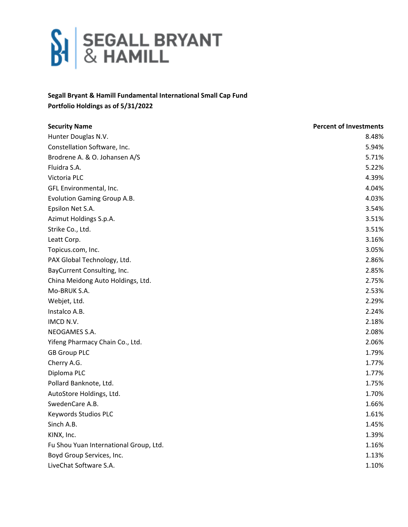

## **Segall Bryant & Hamill Fundamental International Small Cap Fund Portfolio Holdings as of 5/31/2022**

| <b>Security Name</b>                   | <b>Percent of Investments</b> |
|----------------------------------------|-------------------------------|
| Hunter Douglas N.V.                    | 8.48%                         |
| Constellation Software, Inc.           | 5.94%                         |
| Brodrene A. & O. Johansen A/S          | 5.71%                         |
| Fluidra S.A.                           | 5.22%                         |
| Victoria PLC                           | 4.39%                         |
| GFL Environmental, Inc.                | 4.04%                         |
| <b>Evolution Gaming Group A.B.</b>     | 4.03%                         |
| Epsilon Net S.A.                       | 3.54%                         |
| Azimut Holdings S.p.A.                 | 3.51%                         |
| Strike Co., Ltd.                       | 3.51%                         |
| Leatt Corp.                            | 3.16%                         |
| Topicus.com, Inc.                      | 3.05%                         |
| PAX Global Technology, Ltd.            | 2.86%                         |
| BayCurrent Consulting, Inc.            | 2.85%                         |
| China Meidong Auto Holdings, Ltd.      | 2.75%                         |
| Mo-BRUK S.A.                           | 2.53%                         |
| Webjet, Ltd.                           | 2.29%                         |
| Instalco A.B.                          | 2.24%                         |
| IMCD N.V.                              | 2.18%                         |
| NEOGAMES S.A.                          | 2.08%                         |
| Yifeng Pharmacy Chain Co., Ltd.        | 2.06%                         |
| <b>GB Group PLC</b>                    | 1.79%                         |
| Cherry A.G.                            | 1.77%                         |
| Diploma PLC                            | 1.77%                         |
| Pollard Banknote, Ltd.                 | 1.75%                         |
| AutoStore Holdings, Ltd.               | 1.70%                         |
| SwedenCare A.B.                        | 1.66%                         |
| Keywords Studios PLC                   | 1.61%                         |
| Sinch A.B.                             | 1.45%                         |
| KINX, Inc.                             | 1.39%                         |
| Fu Shou Yuan International Group, Ltd. | 1.16%                         |
| Boyd Group Services, Inc.              | 1.13%                         |
| LiveChat Software S.A.                 | 1.10%                         |